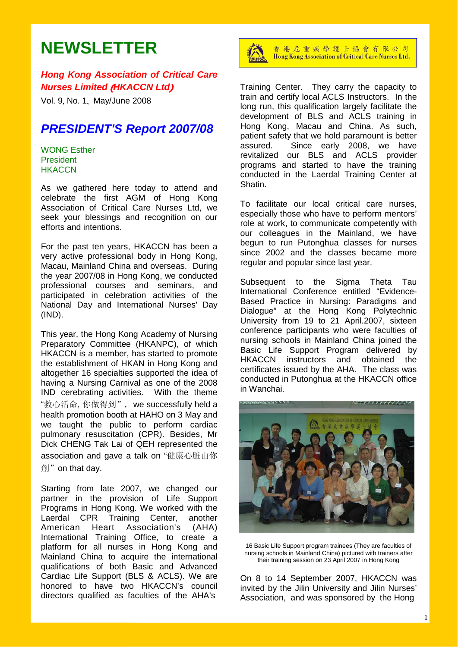# **NEWSLETTER**

### *Hong Kong Association of Critical Care Nurses Limited* (*HKACCN Ltd*)

Vol. 9, No. 1, May/June 2008

## *PRESIDENT'S Report 2007/08*

#### WONG Esther President **HKACCN**

As we gathered here today to attend and celebrate the first AGM of Hong Kong Association of Critical Care Nurses Ltd, we seek your blessings and recognition on our efforts and intentions.

For the past ten years, HKACCN has been a very active professional body in Hong Kong, Macau, Mainland China and overseas. During the year 2007/08 in Hong Kong, we conducted professional courses and seminars, and participated in celebration activities of the National Day and International Nurses' Day (IND).

This year, the Hong Kong Academy of Nursing Preparatory Committee (HKANPC), of which HKACCN is a member, has started to promote the establishment of HKAN in Hong Kong and altogether 16 specialties supported the idea of having a Nursing Carnival as one of the 2008 IND cerebrating activities. With the theme "救心活命, 你做得到", we successfully held a health promotion booth at HAHO on 3 May and we taught the public to perform cardiac pulmonary resuscitation (CPR). Besides, Mr Dick CHENG Tak Lai of QEH represented the association and gave a talk on "健康心脏由你 創"on that day.

Starting from late 2007, we changed our partner in the provision of Life Support Programs in Hong Kong. We worked with the Laerdal CPR Training Center, another American Heart Association's (AHA) International Training Office, to create a platform for all nurses in Hong Kong and Mainland China to acquire the international qualifications of both Basic and Advanced Cardiac Life Support (BLS & ACLS). We are honored to have two HKACCN's council directors qualified as faculties of the AHA's



香港危重病學護士協會有限公司 Hong Kong Association of Critical Care Nurses Ltd.

Training Center. They carry the capacity to train and certify local ACLS Instructors. In the long run, this qualification largely facilitate the development of BLS and ACLS training in Hong Kong, Macau and China. As such, patient safety that we hold paramount is better assured. Since early 2008, we have revitalized our BLS and ACLS provider programs and started to have the training conducted in the Laerdal Training Center at **Shatin** 

To facilitate our local critical care nurses, especially those who have to perform mentors' role at work, to communicate competently with our colleagues in the Mainland, we have begun to run Putonghua classes for nurses since 2002 and the classes became more regular and popular since last year.

Subsequent to the Sigma Theta Tau International Conference entitled "Evidence-Based Practice in Nursing: Paradigms and Dialogue" at the Hong Kong Polytechnic University from 19 to 21 April.2007, sixteen conference participants who were faculties of nursing schools in Mainland China joined the Basic Life Support Program delivered by HKACCN instructors and obtained the certificates issued by the AHA. The class was conducted in Putonghua at the HKACCN office in Wanchai.



16 Basic Life Support program trainees (They are faculties of nursing schools in Mainland China) pictured with trainers after their training session on 23 April 2007 in Hong Kong

On 8 to 14 September 2007, HKACCN was invited by the Jilin University and Jilin Nurses' Association, and was sponsored by the Hong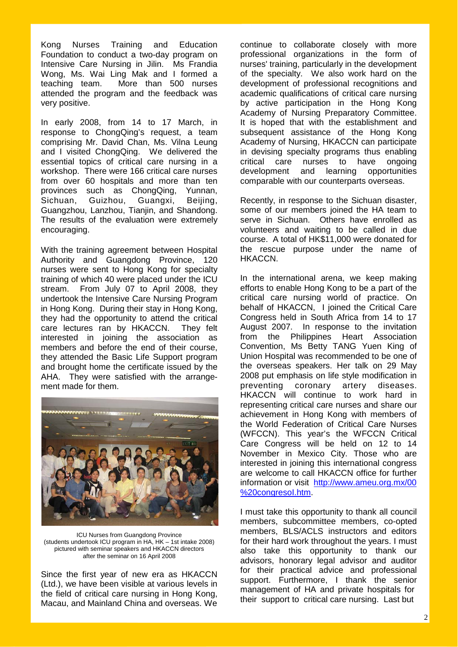Kong Nurses Training and Education Foundation to conduct a two-day program on Intensive Care Nursing in Jilin. Ms Frandia Wong, Ms. Wai Ling Mak and I formed a teaching team. More than 500 nurses attended the program and the feedback was very positive.

In early 2008, from 14 to 17 March, in response to ChongQing's request, a team comprising Mr. David Chan, Ms. Vilna Leung and I visited ChongQing. We delivered the essential topics of critical care nursing in a workshop. There were 166 critical care nurses from over 60 hospitals and more than ten provinces such as ChongQing, Yunnan, Sichuan, Guizhou, Guangxi, Beijing, Guangzhou, Lanzhou, Tianjin, and Shandong. The results of the evaluation were extremely encouraging.

With the training agreement between Hospital Authority and Guangdong Province, 120 nurses were sent to Hong Kong for specialty training of which 40 were placed under the ICU stream. From July 07 to April 2008, they undertook the Intensive Care Nursing Program in Hong Kong. During their stay in Hong Kong, they had the opportunity to attend the critical care lectures ran by HKACCN. They felt interested in joining the association as members and before the end of their course, they attended the Basic Life Support program and brought home the certificate issued by the AHA. They were satisfied with the arrangement made for them.



ICU Nurses from Guangdong Province (students undertook ICU program in HA, HK – 1st intake 2008) pictured with seminar speakers and HKACCN directors after the seminar on 16 April 2008

Since the first year of new era as HKACCN (Ltd.), we have been visible at various levels in the field of critical care nursing in Hong Kong, Macau, and Mainland China and overseas. We

continue to collaborate closely with more professional organizations in the form of nurses' training, particularly in the development of the specialty. We also work hard on the development of professional recognitions and academic qualifications of critical care nursing by active participation in the Hong Kong Academy of Nursing Preparatory Committee. It is hoped that with the establishment and subsequent assistance of the Hong Kong Academy of Nursing, HKACCN can participate in devising specialty programs thus enabling critical care nurses to have ongoing development and learning opportunities comparable with our counterparts overseas.

Recently, in response to the Sichuan disaster, some of our members joined the HA team to serve in Sichuan. Others have enrolled as volunteers and waiting to be called in due course. A total of HK\$11,000 were donated for the rescue purpose under the name of HKACCN.

In the international arena, we keep making efforts to enable Hong Kong to be a part of the critical care nursing world of practice. On behalf of HKACCN, I joined the Critical Care Congress held in South Africa from 14 to 17 August 2007. In response to the invitation from the Philippines Heart Association Convention, Ms Betty TANG Yuen King of Union Hospital was recommended to be one of the overseas speakers. Her talk on 29 May 2008 put emphasis on life style modification in preventing coronary artery diseases. HKACCN will continue to work hard in representing critical care nurses and share our achievement in Hong Kong with members of the World Federation of Critical Care Nurses (WFCCN). This year's the WFCCN Critical Care Congress will be held on 12 to 14 November in Mexico City. Those who are interested in joining this international congress are welcome to call HKACCN office for further information or visit http://www.ameu.org.mx/00 %20congresoI.htm.

I must take this opportunity to thank all council members, subcommittee members, co-opted members, BLS/ACLS instructors and editors for their hard work throughout the years. I must also take this opportunity to thank our advisors, honorary legal advisor and auditor for their practical advice and professional support. Furthermore, I thank the senior management of HA and private hospitals for their support to critical care nursing. Last but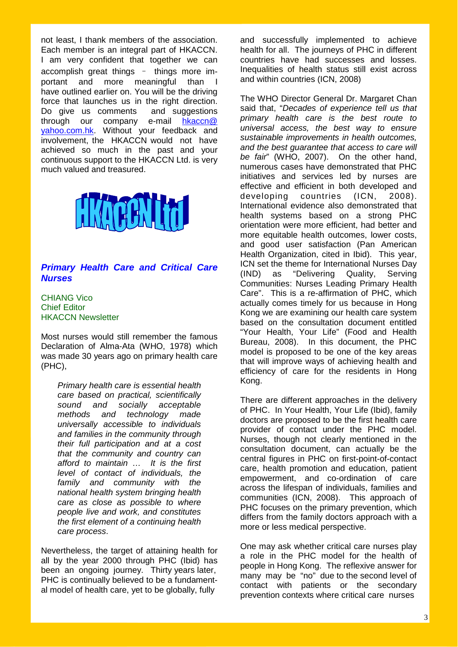not least, I thank members of the association. Each member is an integral part of HKACCN. I am very confident that together we can accomplish great things – things more important and more meaningful than I have outlined earlier on. You will be the driving force that launches us in the right direction. Do give us comments and suggestions through our company e-mail hkaccn@ yahoo.com.hk. Without your feedback and involvement, the HKACCN would not have achieved so much in the past and your continuous support to the HKACCN Ltd. is very much valued and treasured.



### *Primary Health Care and Critical Care Nurses*

CHIANG Vico Chief Editor HKACCN Newsletter

Most nurses would still remember the famous Declaration of Alma-Ata (WHO, 1978) which was made 30 years ago on primary health care (PHC),

*Primary health care is essential health care based on practical, scientifically sound and socially acceptable methods and technology made universally accessible to individuals and families in the community through their full participation and at a cost that the community and country can afford to maintain … It is the first level of contact of individuals, the family and community with the national health system bringing health care as close as possible to where people live and work, and constitutes the first element of a continuing health care process*.

Nevertheless, the target of attaining health for all by the year 2000 through PHC (Ibid) has been an ongoing journey. Thirty years later, PHC is continually believed to be a fundamental model of health care, yet to be globally, fully

and successfully implemented to achieve health for all. The journeys of PHC in different countries have had successes and losses. Inequalities of health status still exist across and within countries (ICN, 2008)

The WHO Director General Dr. Margaret Chan said that, "*Decades of experience tell us that primary health care is the best route to universal access, the best way to ensure sustainable improvements in health outcomes, and the best guarantee that access to care will be fair*" (WHO, 2007). On the other hand, numerous cases have demonstrated that PHC initiatives and services led by nurses are effective and efficient in both developed and developing countries (ICN, 2008). International evidence also demonstrated that health systems based on a strong PHC orientation were more efficient, had better and more equitable health outcomes, lower costs, and good user satisfaction (Pan American Health Organization, cited in Ibid). This year, ICN set the theme for International Nurses Day (IND) as "Delivering Quality, Serving Communities: Nurses Leading Primary Health Care". This is a re-affirmation of PHC, which actually comes timely for us because in Hong Kong we are examining our health care system based on the consultation document entitled "Your Health, Your Life" (Food and Health Bureau, 2008). In this document, the PHC model is proposed to be one of the key areas that will improve ways of achieving health and efficiency of care for the residents in Hong Kong.

There are different approaches in the delivery of PHC. In Your Health, Your Life (Ibid), family doctors are proposed to be the first health care provider of contact under the PHC model. Nurses, though not clearly mentioned in the consultation document, can actually be the central figures in PHC on first-point-of-contact care, health promotion and education, patient empowerment, and co-ordination of care across the lifespan of individuals, families and communities (ICN, 2008). This approach of PHC focuses on the primary prevention, which differs from the family doctors approach with a more or less medical perspective.

One may ask whether critical care nurses play a role in the PHC model for the health of people in Hong Kong. The reflexive answer for many may be "no" due to the second level of contact with patients or the secondary prevention contexts where critical care nurses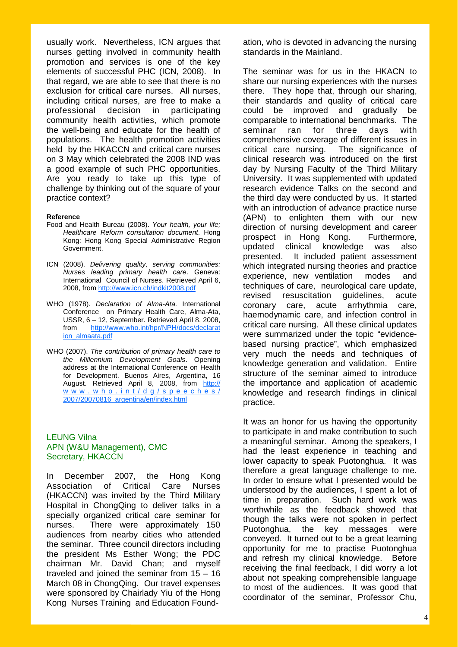usually work. Nevertheless, ICN argues that nurses getting involved in community health promotion and services is one of the key elements of successful PHC (ICN, 2008). In that regard, we are able to see that there is no exclusion for critical care nurses. All nurses, including critical nurses, are free to make a professional decision in participating community health activities, which promote the well-being and educate for the health of populations. The health promotion activities held by the HKACCN and critical care nurses on 3 May which celebrated the 2008 IND was a good example of such PHC opportunities. Are you ready to take up this type of challenge by thinking out of the square of your practice context?

#### **Reference**

- Food and Health Bureau (2008). *Your health, your life; Healthcare Reform consultation document*. Hong Kong: Hong Kong Special Administrative Region Government.
- ICN (2008). *Delivering quality, serving communities: Nurses leading primary health care*. Geneva: International Council of Nurses. Retrieved April 6, 2008, from http://www.icn.ch/indkit2008.pdf
- WHO (1978). *Declaration of Alma-Ata*. International Conference on Primary Health Care, Alma-Ata, USSR, 6 – 12, September. Retrieved April 8, 2008, from http://www.who.int/hpr/NPH/docs/declarat ion\_almaata.pdf
- WHO (2007). *The contribution of primary health care to the Millennium Development Goals*. Opening address at the International Conference on Health for Development. Buenos Aires, Argentina, 16 August. Retrieved April 8, 2008, from http:// www.who.int/dg/speeches/ 2007/20070816\_argentina/en/index.html

#### LEUNG Vilna APN (W&U Management), CMC Secretary, HKACCN

In December 2007, the Hong Kong Association of Critical Care Nurses (HKACCN) was invited by the Third Military Hospital in ChongQing to deliver talks in a specially organized critical care seminar for nurses. There were approximately 150 audiences from nearby cities who attended the seminar. Three council directors including the president Ms Esther Wong; the PDC chairman Mr. David Chan; and myself traveled and joined the seminar from 15 – 16 March 08 in ChongQing. Our travel expenses were sponsored by Chairlady Yiu of the Hong Kong Nurses Training and Education Foundation, who is devoted in advancing the nursing standards in the Mainland.

The seminar was for us in the HKACN to share our nursing experiences with the nurses there. They hope that, through our sharing, their standards and quality of critical care could be improved and gradually be comparable to international benchmarks. The seminar ran for three days with comprehensive coverage of different issues in critical care nursing. The significance of clinical research was introduced on the first day by Nursing Faculty of the Third Military University. It was supplemented with updated research evidence Talks on the second and the third day were conducted by us. It started with an introduction of advance practice nurse (APN) to enlighten them with our new direction of nursing development and career prospect in Hong Kong. Furthermore, updated clinical knowledge was also presented. It included patient assessment which integrated nursing theories and practice experience, new ventilation modes and techniques of care, neurological care update, revised resuscitation guidelines, acute coronary care, acute arrhythmia care, haemodynamic care, and infection control in critical care nursing. All these clinical updates were summarized under the topic "evidencebased nursing practice", which emphasized very much the needs and techniques of knowledge generation and validation. Entire structure of the seminar aimed to introduce the importance and application of academic knowledge and research findings in clinical practice.

It was an honor for us having the opportunity to participate in and make contribution to such a meaningful seminar. Among the speakers, I had the least experience in teaching and lower capacity to speak Puotonghua. It was therefore a great language challenge to me. In order to ensure what I presented would be understood by the audiences, I spent a lot of time in preparation. Such hard work was worthwhile as the feedback showed that though the talks were not spoken in perfect Puotonghua, the key messages were conveyed. It turned out to be a great learning opportunity for me to practise Puotonghua and refresh my clinical knowledge. Before receiving the final feedback, I did worry a lot about not speaking comprehensible language to most of the audiences. It was good that coordinator of the seminar, Professor Chu,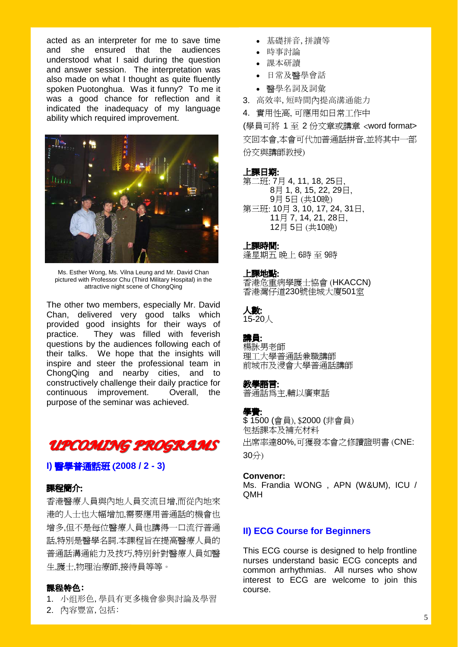acted as an interpreter for me to save time and she ensured that the audiences understood what I said during the question and answer session. The interpretation was also made on what I thought as quite fluently spoken Puotonghua. Was it funny? To me it was a good chance for reflection and it indicated the inadequacy of my language ability which required improvement.



Ms. Esther Wong, Ms. Vilna Leung and Mr. David Chan pictured with Professor Chu (Third Military Hospital) in the attractive night scene of ChongQing

The other two members, especially Mr. David Chan, delivered very good talks which provided good insights for their ways of practice. They was filled with feverish questions by the audiences following each of their talks. We hope that the insights will inspire and steer the professional team in ChongQing and nearby cities, and to constructively challenge their daily practice for continuous improvement. Overall, the purpose of the seminar was achieved.



#### **I)** 醫學普通話班 (**2008 / 2 - 3)**

### 課程簡介:

香港醫療人員與內地人員交流日增,而從內地來 港的人士也大幅增加,需要應用普通話的機會也 增多,但不是每位醫療人員也講得一口流行普通 話,特別是醫學名詞.本課程旨在提高醫療人員的 普通話溝通能力及技巧,特别針對醫療人員如醫 生,護士,物理治療師,接待員等等。

#### 課程特色:

- 1. 小组形色,學員有更多機會參與討論及學習
- 2. 內容豐富,包括:
- 基礎拼音,拼讀等
- 時事討論
- 課本研讀
- 日常及醫學會話
- 醫學名詞及詞彙
- 3. 高效率,短時間內提高溝通能力

4. 實用性高, 可應用如日常工作中

(學員可將 1 至 2 份文章或講章 <word format> 交回本會,本會可代加普通話拼音,並將其中一部 份交與講師教授)

#### 上課日期:

第二班: 7月 4, 11, 18, 25日, 月 1, 8, 15, 22, 29日, 月 5日 (共10晚) 第三班: 10月 3, 10, 17, 24, 31日, 月 7, 14, 21, 28日, 月 5日 (共10晚)

#### 上課時間:

逢星期五 晚上 6時 至 9時

#### 上課地點:

香港危重病學護士協會 (HKACCN) 香港灣仔道230號佳城大廈501室

### 人數:

15-20人

### 講員:

楊詠男老師 理工大學普通話兼職講師 前城市及浸會大學普通話講師

#### 教學語言:

普通話為主,輔以廣東話

#### 學費:

\$ 1500 (會員), \$2000 (非會員) 包括課本及補充材料 出席率達80%,可獲發本會之修讀證明書 (CNE: 30分)

#### **Convenor:**

Ms. Frandia WONG , APN (W&UM), ICU / QMH

#### **II) ECG Course for Beginners**

This ECG course is designed to help frontline nurses understand basic ECG concepts and common arrhythmias. All nurses who show interest to ECG are welcome to join this course.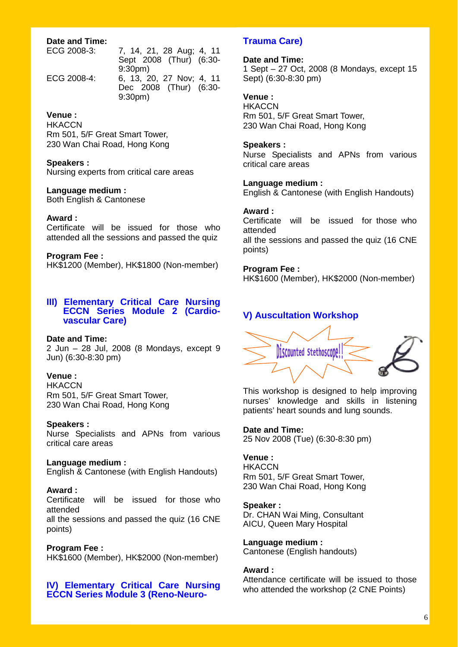#### **Date and Time:**

ECG 2008-3: 7, 14, 21, 28 Aug; 4, 11

 9:30pm) ECG 2008-4: 6, 13, 20, 27 Nov; 4, 11 Dec 2008 (Thur) (6:30- 9:30pm)

Sept 2008 (Thur) (6:30-

### **Venue :**

**HKACCN** Rm 501, 5/F Great Smart Tower, 230 Wan Chai Road, Hong Kong

#### **Speakers :**

Nursing experts from critical care areas

#### **Language medium :**

Both English & Cantonese

#### **Award :**

Certificate will be issued for those who attended all the sessions and passed the quiz

#### **Program Fee :**

HK\$1200 (Member), HK\$1800 (Non-member)

#### **III) Elementary Critical Care Nursing ECCN Series Module 2 (Cardio vascular Care)**

#### **Date and Time:**

2 Jun – 28 Jul, 2008 (8 Mondays, except 9 Jun) (6:30-8:30 pm)

#### **Venue :**

**HKACCN** Rm 501, 5/F Great Smart Tower, 230 Wan Chai Road, Hong Kong

#### **Speakers :**

Nurse Specialists and APNs from various critical care areas

#### **Language medium :**

English & Cantonese (with English Handouts)

#### **Award :**

Certificate will be issued for those who attended all the sessions and passed the quiz (16 CNE points)

#### **Program Fee :**

HK\$1600 (Member), HK\$2000 (Non-member)

#### **IV) Elementary Critical Care Nursing ECCN Series Module 3 (Reno-Neuro-**

### **Trauma Care)**

**Date and Time:**  1 Sept – 27 Oct, 2008 (8 Mondays, except 15 Sept) (6:30-8:30 pm)

#### **Venue :**

**HKACCN** Rm 501, 5/F Great Smart Tower, 230 Wan Chai Road, Hong Kong

#### **Speakers :**

Nurse Specialists and APNs from various critical care areas

#### **Language medium :**

English & Cantonese (with English Handouts)

#### **Award :**

Certificate will be issued for those who attended all the sessions and passed the quiz (16 CNE points)

#### **Program Fee :**

HK\$1600 (Member), HK\$2000 (Non-member)

### **V) Auscultation Workshop**



This workshop is designed to help improving nurses' knowledge and skills in listening patients' heart sounds and lung sounds.

#### **Date and Time:**

25 Nov 2008 (Tue) (6:30-8:30 pm)

### **Venue :**

**HKACCN** Rm 501, 5/F Great Smart Tower, 230 Wan Chai Road, Hong Kong

#### **Speaker :**

Dr. CHAN Wai Ming, Consultant AICU, Queen Mary Hospital

**Language medium :**  Cantonese (English handouts)

#### **Award :**

Attendance certificate will be issued to those who attended the workshop (2 CNE Points)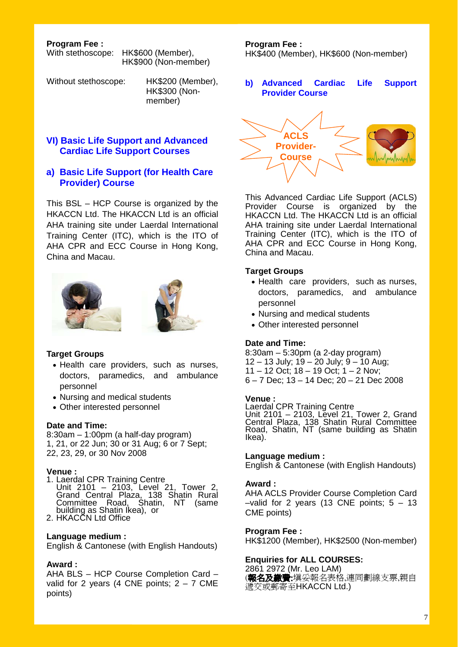**Program Fee :** 

With stethoscope: HK\$600 (Member), HK\$900 (Non-member)

Without stethoscope: HK\$200 (Member), HK\$300 (Non member)

### **VI) Basic Life Support and Advanced Cardiac Life Support Courses**

### **a) Basic Life Support (for Health Care Provider) Course**

This BSL – HCP Course is organized by the HKACCN Ltd. The HKACCN Ltd is an official AHA training site under Laerdal International Training Center (ITC), which is the ITO of AHA CPR and ECC Course in Hong Kong, China and Macau.





#### **Target Groups**

- Health care providers, such as nurses, doctors, paramedics, and ambulance personnel
- Nursing and medical students
- Other interested personnel

#### **Date and Time:**

8:30am – 1:00pm (a half-day program) 1, 21, or 22 Jun; 30 or 31 Aug; 6 or 7 Sept; 22, 23, 29, or 30 Nov 2008

**Venue :**<br>1. Laerdal CPR Training Centre 1. Laerdal CPR Training Centre Unit 2101 – 2103, Level 21, Tower 2, Grand Central Plaza, 138 Shatin Rural Committee Road, Shatin, NT (same building as Shatin Ikea), or 2. HKACCN Ltd Office

#### **Language medium :**

English & Cantonese (with English Handouts)

#### **Award :**

AHA BLS – HCP Course Completion Card – valid for 2 years (4 CNE points;  $2 - 7$  CME points)

**Program Fee :**  HK\$400 (Member), HK\$600 (Non-member)

**b) Advanced Cardiac Life Support Provider Course** 



This Advanced Cardiac Life Support (ACLS) Provider Course is organized by the HKACCN Ltd. The HKACCN Ltd is an official AHA training site under Laerdal International Training Center (ITC), which is the ITO of AHA CPR and ECC Course in Hong Kong, China and Macau.

#### **Target Groups**

- Health care providers, such as nurses, doctors, paramedics, and ambulance personnel
- Nursing and medical students
- Other interested personnel

#### **Date and Time:**

8:30am – 5:30pm (a 2-day program) 12 – 13 July; 19 – 20 July; 9 – 10 Aug; 11 – 12 Oct; 18 – 19 Oct; 1 – 2 Nov; 6 – 7 Dec; 13 – 14 Dec; 20 – 21 Dec 2008

#### **Venue :**

Laerdal CPR Training Centre Unit 2101 – 2103, Level 21, Tower 2, Grand Central Plaza, 138 Shatin Rural Committee Road, Shatin, NT (same building as Shatin Ikea).

#### **Language medium :**

English & Cantonese (with English Handouts)

#### **Award :**

AHA ACLS Provider Course Completion Card  $-$ valid for 2 years (13 CNE points;  $5 - 13$ CME points)

#### **Program Fee :**

HK\$1200 (Member), HK\$2500 (Non-member)

#### **Enquiries for ALL COURSES:**

2861 2972 (Mr. Leo LAM) (**報名及繳費:**塡妥報名表格,連同劃線支票,親自 遞交或郵寄至HKACCN Ltd.)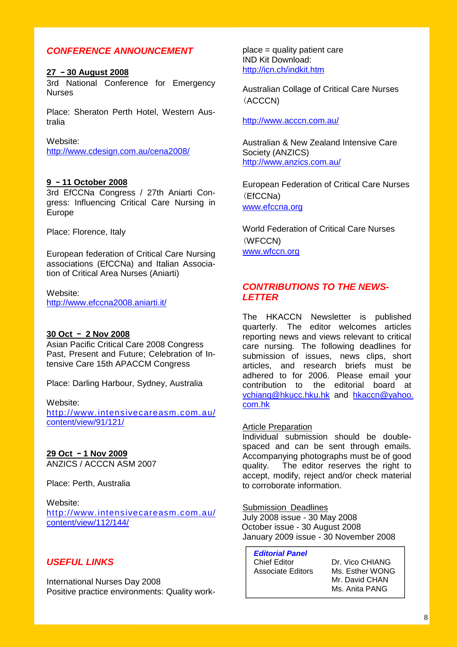### *CONFERENCE ANNOUNCEMENT*

#### **27** –**30 August 2008**

3rd National Conference for Emergency Nurses

Place: Sheraton Perth Hotel, Western Australia

Website: http://www.cdesign.com.au/cena2008/

#### **9** –**11 October 2008**

3rd EfCCNa Congress / 27th Aniarti Congress: Influencing Critical Care Nursing in Europe

Place: Florence, Italy

European federation of Critical Care Nursing associations (EfCCNa) and Italian Association of Critical Area Nurses (Aniarti)

Website: http://www.efccna2008.aniarti.it/

#### **30 Oct** – **2 Nov 2008**

Asian Pacific Critical Care 2008 Congress Past, Present and Future; Celebration of Intensive Care 15th APACCM Congress

Place: Darling Harbour, Sydney, Australia

### Website:

http://www.intensivecareasm.com.au/ content/view/91/121/

### **29 Oct** –**1 Nov 2009**

ANZICS / ACCCN ASM 2007

Place: Perth, Australia

Website:

http://www.intensivecareasm.com.au/ content/view/112/144/

### *USEFUL LINKS*

International Nurses Day 2008 Positive practice environments: Quality workplace = quality patient care IND Kit Download: http://icn.ch/indkit.htm

Australian Collage of Critical Care Nurses (ACCCN)

http://www.acccn.com.au/

Australian & New Zealand Intensive Care Society (ANZICS) http://www.anzics.com.au/

European Federation of Critical Care Nurses (EfCCNa) www.efccna.org

World Federation of Critical Care Nurses (WFCCN) www.wfccn.org

### *CONTRIBUTIONS TO THE NEWS-LETTER*

The HKACCN Newsletter is published quarterly. The editor welcomes articles reporting news and views relevant to critical care nursing. The following deadlines for submission of issues, news clips, short articles, and research briefs must be adhered to for 2006. Please email your contribution to the editorial board at vchiang@hkucc.hku.hk and hkaccn@yahoo. com.hk

### Article Preparation

Individual submission should be doublespaced and can be sent through emails. Accompanying photographs must be of good quality. The editor reserves the right to accept, modify, reject and/or check material to corroborate information.

Submission Deadlines

July 2008 issue - 30 May 2008 October issue - 30 August 2008 January 2009 issue - 30 November 2008

*Editorial Panel* 

Chief Editor Dr. Vico CHIANG Associate Editors Ms. Esther WONG

 Mr. David CHAN Ms. Anita PANG